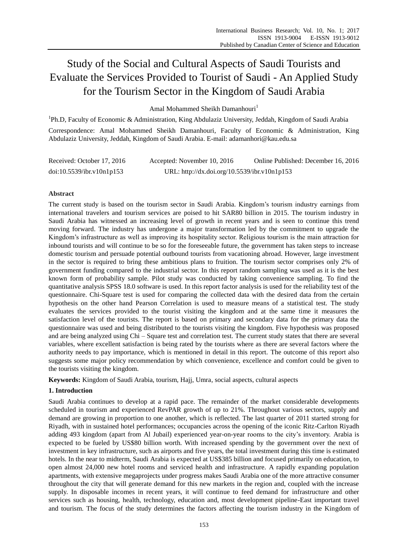# Study of the Social and Cultural Aspects of Saudi Tourists and Evaluate the Services Provided to Tourist of Saudi - An Applied Study for the Tourism Sector in the Kingdom of Saudi Arabia

Amal Mohammed Sheikh Damanhouri<sup>1</sup>

<sup>1</sup>Ph.D, Faculty of Economic & Administration, King Abdulaziz University, Jeddah, Kingdom of Saudi Arabia Correspondence: Amal Mohammed Sheikh Damanhouri, Faculty of Economic & Administration, King Abdulaziz University, Jeddah, Kingdom of Saudi Arabia. E-mail: adamanhori@kau.edu.sa

| Received: October 17, 2016 | Accepted: November 10, 2016                  | Online Published: December 16, 2016 |
|----------------------------|----------------------------------------------|-------------------------------------|
| doi:10.5539/ibr.v10n1p153  | URL: http://dx.doi.org/10.5539/ibr.v10n1p153 |                                     |

# **Abstract**

The current study is based on the tourism sector in Saudi Arabia. Kingdom"s tourism industry earnings from international travelers and tourism services are poised to hit SAR80 billion in 2015. The tourism industry in Saudi Arabia has witnessed an increasing level of growth in recent years and is seen to continue this trend moving forward. The industry has undergone a major transformation led by the commitment to upgrade the Kingdom"s infrastructure as well as improving its hospitality sector. Religious tourism is the main attraction for inbound tourists and will continue to be so for the foreseeable future, the government has taken steps to increase domestic tourism and persuade potential outbound tourists from vacationing abroad. However, large investment in the sector is required to bring these ambitious plans to fruition. The tourism sector comprises only 2% of government funding compared to the industrial sector. In this report random sampling was used as it is the best known form of probability sample. Pilot study was conducted by taking convenience sampling. To find the quantitative analysis SPSS 18.0 software is used. In this report factor analysis is used for the reliability test of the questionnaire. Chi-Square test is used for comparing the collected data with the desired data from the certain hypothesis on the other hand Pearson Correlation is used to measure means of a statistical test. The study evaluates the services provided to the tourist visiting the kingdom and at the same time it measures the satisfaction level of the tourists. The report is based on primary and secondary data for the primary data the questionnaire was used and being distributed to the tourists visiting the kingdom. Five hypothesis was proposed and are being analyzed using Chi – Square test and correlation test. The current study states that there are several variables, where excellent satisfaction is being rated by the tourists where as there are several factors where the authority needs to pay importance, which is mentioned in detail in this report. The outcome of this report also suggests some major policy recommendation by which convenience, excellence and comfort could be given to the tourists visiting the kingdom.

**Keywords:** Kingdom of Saudi Arabia, tourism, Hajj, Umra, social aspects, cultural aspects

# **1. Introduction**

Saudi Arabia continues to develop at a rapid pace. The remainder of the market considerable developments scheduled in tourism and experienced RevPAR growth of up to 21%. Throughout various sectors, supply and demand are growing in proportion to one another, which is reflected. The last quarter of 2011 started strong for Riyadh, with in sustained hotel performances; occupancies across the opening of the iconic Ritz-Carlton Riyadh adding 493 kingdom (apart from Al Jubail) experienced year-on-year rooms to the city"s inventory. Arabia is expected to be fueled by US\$80 billion worth. With increased spending by the government over the next of investment in key infrastructure, such as airports and five years, the total investment during this time is estimated hotels. In the near to midterm, Saudi Arabia is expected at US\$385 billion and focused primarily on education, to open almost 24,000 new hotel rooms and serviced health and infrastructure. A rapidly expanding population apartments, with extensive megaprojects under progress makes Saudi Arabia one of the more attractive consumer throughout the city that will generate demand for this new markets in the region and, coupled with the increase supply. In disposable incomes in recent years, it will continue to feed demand for infrastructure and other services such as housing, health, technology, education and, most development pipeline-East important travel and tourism. The focus of the study determines the factors affecting the tourism industry in the Kingdom of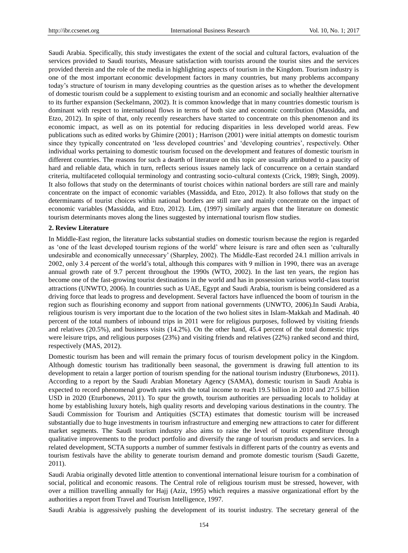Saudi Arabia. Specifically, this study investigates the extent of the social and cultural factors, evaluation of the services provided to Saudi tourists, Measure satisfaction with tourists around the tourist sites and the services provided therein and the role of the media in highlighting aspects of tourism in the Kingdom. Tourism industry is one of the most important economic development factors in many countries, but many problems accompany today"s structure of tourism in many developing countries as the question arises as to whether the development of domestic tourism could be a supplement to existing tourism and an economic and socially healthier alternative to its further expansion (Seckelmann, 2002). It is common knowledge that in many countries domestic tourism is dominant with respect to international flows in terms of both size and economic contribution (Massidda, and Etzo, 2012). In spite of that, only recently researchers have started to concentrate on this phenomenon and its economic impact, as well as on its potential for reducing disparities in less developed world areas. Few publications such as edited works by Ghimire (2001) ; Harrison (2001) were initial attempts on domestic tourism since they typically concentrated on "less developed countries" and "developing countries", respectively. Other individual works pertaining to domestic tourism focused on the development and features of domestic tourism in different countries. The reasons for such a dearth of literature on this topic are usually attributed to a paucity of hard and reliable data, which in turn, reflects serious issues namely lack of concurrence on a certain standard criteria, multifaceted colloquial terminology and contrasting socio-cultural contexts (Crick, 1989; Singh, 2009). It also follows that study on the determinants of tourist choices within national borders are still rare and mainly concentrate on the impact of economic variables (Massidda, and Etzo, 2012). It also follows that study on the determinants of tourist choices within national borders are still rare and mainly concentrate on the impact of economic variables (Massidda, and Etzo, 2012). Lim, (1997) similarly argues that the literature on domestic tourism determinants moves along the lines suggested by international tourism flow studies.

#### **2. Review Literature**

In Middle-East region, the literature lacks substantial studies on domestic tourism because the region is regarded as "one of the least developed tourism regions of the world" where leisure is rare and often seen as "culturally undesirable and economically unnecessary' (Sharpley, 2002). The Middle-East recorded 24.1 million arrivals in 2002, only 3.4 percent of the world"s total, although this compares with 9 million in 1990, there was an average annual growth rate of 9.7 percent throughout the 1990s (WTO, 2002). In the last ten years, the region has become one of the fast-growing tourist destinations in the world and has in possession various world-class tourist attractions (UNWTO, 2006). In countries such as UAE, Egypt and Saudi Arabia, tourism is being considered as a driving force that leads to progress and development. Several factors have influenced the boom of tourism in the region such as flourishing economy and support from national governments (UNWTO, 2006).In Saudi Arabia, religious tourism is very important due to the location of the two holiest sites in Islam-Makkah and Madinah. 40 percent of the total numbers of inbound trips in 2011 were for religious purposes, followed by visiting friends and relatives (20.5%), and business visits (14.2%). On the other hand, 45.4 percent of the total domestic trips were leisure trips, and religious purposes (23%) and visiting friends and relatives (22%) ranked second and third, respectively (MAS, 2012).

Domestic tourism has been and will remain the primary focus of tourism development policy in the Kingdom. Although domestic tourism has traditionally been seasonal, the government is drawing full attention to its development to retain a larger portion of tourism spending for the national tourism industry (Eturbonews, 2011). According to a report by the Saudi Arabian Monetary Agency (SAMA), domestic tourism in Saudi Arabia is expected to record phenomenal growth rates with the total income to reach 19.5 billion in 2010 and 27.5 billion USD in 2020 (Eturbonews, 2011). To spur the growth, tourism authorities are persuading locals to holiday at home by establishing luxury hotels, high quality resorts and developing various destinations in the country. The Saudi Commission for Tourism and Antiquities (SCTA) estimates that domestic tourism will be increased substantially due to huge investments in tourism infrastructure and emerging new attractions to cater for different market segments. The Saudi tourism industry also aims to raise the level of tourist expenditure through qualitative improvements to the product portfolio and diversify the range of tourism products and services. In a related development, SCTA supports a number of summer festivals in different parts of the country as events and tourism festivals have the ability to generate tourism demand and promote domestic tourism (Saudi Gazette, 2011).

Saudi Arabia originally devoted little attention to conventional international leisure tourism for a combination of social, political and economic reasons. The Central role of religious tourism must be stressed, however, with over a million travelling annually for Hajj (Aziz, 1995) which requires a massive organizational effort by the authorities a report from Travel and Tourism Intelligence, 1997.

Saudi Arabia is aggressively pushing the development of its tourist industry. The secretary general of the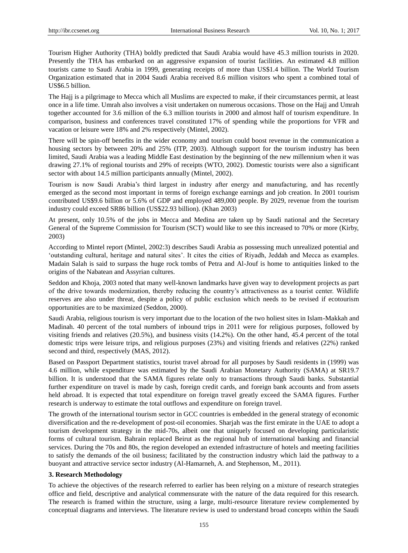Tourism Higher Authority (THA) boldly predicted that Saudi Arabia would have 45.3 million tourists in 2020. Presently the THA has embarked on an aggressive expansion of tourist facilities. An estimated 4.8 million tourists came to Saudi Arabia in 1999, generating receipts of more than US\$1.4 billion. The World Tourism Organization estimated that in 2004 Saudi Arabia received 8.6 million visitors who spent a combined total of US\$6.5 billion.

The Hajj is a pilgrimage to Mecca which all Muslims are expected to make, if their circumstances permit, at least once in a life time. Umrah also involves a visit undertaken on numerous occasions. Those on the Hajj and Umrah together accounted for 3.6 million of the 6.3 million tourists in 2000 and almost half of tourism expenditure. In comparison, business and conferences travel constituted 17% of spending while the proportions for VFR and vacation or leisure were 18% and 2% respectively (Mintel, 2002).

There will be spin-off benefits in the wider economy and tourism could boost revenue in the communication a housing sectors by between 20% and 25% (ITP, 2003). Although support for the tourism industry has been limited, Saudi Arabia was a leading Middle East destination by the beginning of the new millennium when it was drawing 27.1% of regional tourists and 29% of receipts (WTO, 2002). Domestic tourists were also a significant sector with about 14.5 million participants annually (Mintel, 2002).

Tourism is now Saudi Arabia"s third largest in industry after energy and manufacturing, and has recently emerged as the second most important in terms of foreign exchange earnings and job creation. In 2001 tourism contributed US\$9.6 billion or 5.6% of GDP and employed 489,000 people. By 2029, revenue from the tourism industry could exceed SR86 billion (US\$22.93 billion). (Khan 2003)

At present, only 10.5% of the jobs in Mecca and Medina are taken up by Saudi national and the Secretary General of the Supreme Commission for Tourism (SCT) would like to see this increased to 70% or more (Kirby, 2003)

According to Mintel report (Mintel, 2002:3) describes Saudi Arabia as possessing much unrealized potential and "outstanding cultural, heritage and natural sites". It cites the cities of Riyadh, Jeddah and Mecca as examples. Madain Salah is said to surpass the huge rock tombs of Petra and Al-Jouf is home to antiquities linked to the origins of the Nabatean and Assyrian cultures.

Seddon and Khoja, 2003 noted that many well-known landmarks have given way to development projects as part of the drive towards modernization, thereby reducing the country"s attractiveness as a tourist center. Wildlife reserves are also under threat, despite a policy of public exclusion which needs to be revised if ecotourism opportunities are to be maximized (Seddon, 2000).

Saudi Arabia, religious tourism is very important due to the location of the two holiest sites in Islam-Makkah and Madinah. 40 percent of the total numbers of inbound trips in 2011 were for religious purposes, followed by visiting friends and relatives (20.5%), and business visits (14.2%). On the other hand, 45.4 percent of the total domestic trips were leisure trips, and religious purposes (23%) and visiting friends and relatives (22%) ranked second and third, respectively (MAS, 2012).

Based on Passport Department statistics, tourist travel abroad for all purposes by Saudi residents in (1999) was 4.6 million, while expenditure was estimated by the Saudi Arabian Monetary Authority (SAMA) at SR19.7 billion. It is understood that the SAMA figures relate only to transactions through Saudi banks. Substantial further expenditure on travel is made by cash, foreign credit cards, and foreign bank accounts and from assets held abroad. It is expected that total expenditure on foreign travel greatly exceed the SAMA figures. Further research is underway to estimate the total outflows and expenditure on foreign travel.

The growth of the international tourism sector in GCC countries is embedded in the general strategy of economic diversification and the re-development of post-oil economies. Sharjah was the first emirate in the UAE to adopt a tourism development strategy in the mid-70s, albeit one that uniquely focused on developing particularistic forms of cultural tourism. Bahrain replaced Beirut as the regional hub of international banking and financial services. During the 70s and 80s, the region developed an extended infrastructure of hotels and meeting facilities to satisfy the demands of the oil business; facilitated by the construction industry which laid the pathway to a buoyant and attractive service sector industry (Al-Hamarneh, A. and Stephenson, M., 2011).

## **3. Research Methodology**

To achieve the objectives of the research referred to earlier has been relying on a mixture of research strategies office and field, descriptive and analytical commensurate with the nature of the data required for this research. The research is framed within the structure, using a large, multi-resource literature review complemented by conceptual diagrams and interviews. The literature review is used to understand broad concepts within the Saudi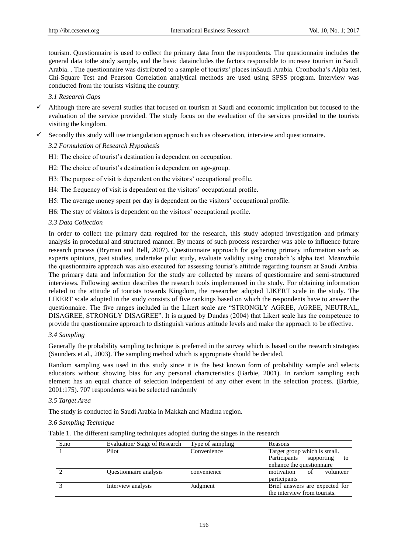tourism. Questionnaire is used to collect the primary data from the respondents. The questionnaire includes the general data tothe study sample, and the basic dataincludes the factors responsible to increase tourism in Saudi Arabia. . The questionnaire was distributed to a sample of tourists" places inSaudi Arabia. Cronbacha"s Alpha test, Chi-Square Test and Pearson Correlation analytical methods are used using SPSS program. Interview was conducted from the tourists visiting the country.

*3.1 Research Gaps*

- $\checkmark$  Although there are several studies that focused on tourism at Saudi and economic implication but focused to the evaluation of the service provided. The study focus on the evaluation of the services provided to the tourists visiting the kingdom.
- Secondly this study will use triangulation approach such as observation, interview and questionnaire.

## *3.2 Formulation of Research Hypothesis*

- H1: The choice of tourist's destination is dependent on occupation.
- H2: The choice of tourist's destination is dependent on age-group.
- H3: The purpose of visit is dependent on the visitors' occupational profile.
- H4: The frequency of visit is dependent on the visitors' occupational profile.
- H5: The average money spent per day is dependent on the visitors" occupational profile.

H6: The stay of visitors is dependent on the visitors" occupational profile.

## *3.3 Data Collection*

In order to collect the primary data required for the research, this study adopted investigation and primary analysis in procedural and structured manner. By means of such process researcher was able to influence future research process (Bryman and Bell, 2007). Questionnaire approach for gathering primary information such as experts opinions, past studies, undertake pilot study, evaluate validity using cronabch"s alpha test. Meanwhile the questionnaire approach was also executed for assessing tourist"s attitude regarding tourism at Saudi Arabia. The primary data and information for the study are collected by means of questionnaire and semi-structured interviews. Following section describes the research tools implemented in the study. For obtaining information related to the attitude of tourists towards Kingdom, the researcher adopted LIKERT scale in the study. The LIKERT scale adopted in the study consists of five rankings based on which the respondents have to answer the questionnaire. The five ranges included in the Likert scale are "STRONGLY AGREE, AGREE, NEUTRAL, DISAGREE, STRONGLY DISAGREE". It is argued by Dundas (2004) that Likert scale has the competence to provide the questionnaire approach to distinguish various attitude levels and make the approach to be effective.

## *3.4 Sampling*

Generally the probability sampling technique is preferred in the survey which is based on the research strategies (Saunders et al., 2003). The sampling method which is appropriate should be decided.

Random sampling was used in this study since it is the best known form of probability sample and selects educators without showing bias for any personal characteristics (Barbie, 2001). In random sampling each element has an equal chance of selection independent of any other event in the selection process. (Barbie, 2001:175). 707 respondents was be selected randomly

## *3.5 Target Area*

The study is conducted in Saudi Arabia in Makkah and Madina region.

## *3.6 Sampling Technique*

Table 1. The different sampling techniques adopted during the stages in the research

| S.no | Evaluation/Stage of Research | Type of sampling | Reasons                                                                                    |
|------|------------------------------|------------------|--------------------------------------------------------------------------------------------|
|      | Pilot                        | Convenience      | Target group which is small.<br>Participants supporting<br>to<br>enhance the questionnaire |
|      | Questionnaire analysis       | convenience      | motivation<br>volunteer<br>of<br>participants                                              |
|      | Interview analysis           | Judgment         | Brief answers are expected for<br>the interview from tourists.                             |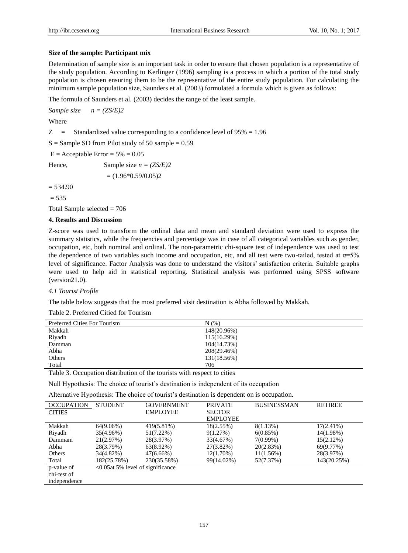#### **Size of the sample: Participant mix**

Determination of sample size is an important task in order to ensure that chosen population is a representative of the study population. According to Kerlinger (1996) sampling is a process in which a portion of the total study population is chosen ensuring them to be the representative of the entire study population. For calculating the minimum sample population size, Saunders et al. (2003) formulated a formula which is given as follows:

The formula of Saunders et al. (2003) decides the range of the least sample.

*Sample size n = (ZS/E)2*

Where

 $Z =$  Standardized value corresponding to a confidence level of 95% = 1.96

 $S =$  Sample SD from Pilot study of 50 sample = 0.59

 $E =$  Acceptable Error = 5% = 0.05

Hence, Sample size  $n = (ZS/E)2$  $= (1.96*0.59/0.05)2$ 

 $= 534.90$ 

 $= 535$ 

Total Sample selected = 706

#### **4. Results and Discussion**

Z-score was used to transform the ordinal data and mean and standard deviation were used to express the summary statistics, while the frequencies and percentage was in case of all categorical variables such as gender, occupation, etc, both nominal and ordinal. The non-parametric chi-square test of independence was used to test the dependence of two variables such income and occupation, etc, and all test were two-tailed, tested at  $\alpha$ =5% level of significance. Factor Analysis was done to understand the visitors" satisfaction criteria. Suitable graphs were used to help aid in statistical reporting. Statistical analysis was performed using SPSS software (version21.0).

#### *4.1 Tourist Profile*

The table below suggests that the most preferred visit destination is Abha followed by Makkah.

| Table 2. Preferred Citied for Tourism |  |  |
|---------------------------------------|--|--|
|---------------------------------------|--|--|

| Preferred Cities For Tourism | N(%         |
|------------------------------|-------------|
| Makkah                       | 148(20.96%) |
| Riyadh                       | 115(16.29%) |
| Damman                       | 104(14.73%) |
| Abha                         | 208(29.46%) |
| Others                       | 131(18.56%) |
| Total                        | 706         |
|                              |             |

Table 3. Occupation distribution of the tourists with respect to cities

Null Hypothesis: The choice of tourist"s destination is independent of its occupation

Alternative Hypothesis: The choice of tourist's destination is dependent on is occupation.

| <b>OCCUPATION</b> | <b>STUDENT</b>                          | <b>GOVERNMENT</b> | <b>PRIVATE</b>  | <b>BUSINESSMAN</b> | <b>RETIREE</b> |
|-------------------|-----------------------------------------|-------------------|-----------------|--------------------|----------------|
| <b>CITIES</b>     |                                         | <b>EMPLOYEE</b>   | <b>SECTOR</b>   |                    |                |
|                   |                                         |                   | <b>EMPLOYEE</b> |                    |                |
| Makkah            | 64(9.06%)                               | 419(5.81%)        | 18(2.55%)       | $8(1.13\%)$        | $17(2.41\%)$   |
| Riyadh            | 35(4.96%)                               | $51(7.22\%)$      | 9(1.27%)        | 6(0.85%)           | 14(1.98%)      |
| Dammam            | 21(2.97%)                               | 28(3.97%)         | 33(4.67%)       | $7(0.99\%)$        | $15(2.12\%)$   |
| Abha              | 28(3.79%)                               | $63(8.92\%)$      | 27(3.82%)       | 20(2.83%)          | 69(9.77%)      |
| Others            | 34(4.82%)                               | 47(6.66%)         | 12(1.70%)       | 11(1.56%)          | 28(3.97%)      |
| Total             | 182(25.78%)                             | 230(35.58%)       | 99(14.02%)      | 52(7.37%)          | 143(20.25%)    |
| p-value of        | $\leq 0.05$ at 5% level of significance |                   |                 |                    |                |
| chi-test of       |                                         |                   |                 |                    |                |
| independence      |                                         |                   |                 |                    |                |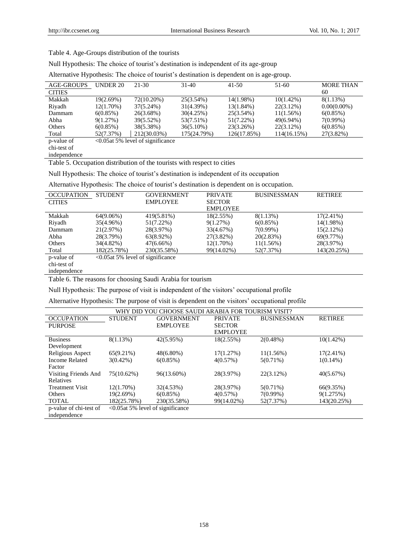# Table 4. Age-Groups distribution of the tourists

Null Hypothesis: The choice of tourist's destination is independent of its age-group

Alternative Hypothesis: The choice of tourist's destination is dependent on is age-group.

| <b>AGE-GROUPS</b> | <b>UNDER 20</b> | $21 - 30$                               | $31-40$      | $41 - 50$    | $51-60$      | <b>MORE THAN</b> |
|-------------------|-----------------|-----------------------------------------|--------------|--------------|--------------|------------------|
| <b>CITIES</b>     |                 |                                         |              |              |              | 60               |
| Makkah            | $19(2.69\%)$    | 72(10.20%)                              | 25(3.54%)    | 14(1.98%)    | $10(1.42\%)$ | $8(1.13\%)$      |
| Riyadh            | $12(1.70\%)$    | $37(5.24\%)$                            | 31(4.39%)    | $13(1.84\%)$ | $22(3.12\%)$ | $0.00(0.00\%)$   |
| Dammam            | 6(0.85%)        | $26(3.68\%)$                            | 30(4.25%)    | 25(3.54%)    | $11(1.56\%)$ | 6(0.85%)         |
| Abha              | 9(1.27%)        | $39(5.52\%)$                            | 53(7.51%)    | $51(7.22\%)$ | 49(6.94%)    | $7(0.99\%)$      |
| Others            | 6(0.85%)        | 38(5.38%)                               | $36(5.10\%)$ | 23(3.26%)    | $22(3.12\%)$ | 6(0.85%)         |
| Total             | 52(7.37%)       | 212(30.03%)                             | 175(24.79%)  | 126(17.85%)  | 114(16.15%)  | 27(3.82%)        |
| p-value of        |                 | $\leq 0.05$ at 5% level of significance |              |              |              |                  |
| chi-test of       |                 |                                         |              |              |              |                  |

independence

Table 5. Occupation distribution of the tourists with respect to cities

Null Hypothesis: The choice of tourist"s destination is independent of its occupation

Alternative Hypothesis: The choice of tourist's destination is dependent on is occupation.

| <b>OCCUPATION</b> | <b>STUDENT</b>                          | <b>GOVERNMENT</b> | <b>PRIVATE</b>  | <b>BUSINESSMAN</b> | <b>RETIREE</b> |
|-------------------|-----------------------------------------|-------------------|-----------------|--------------------|----------------|
| <b>CITIES</b>     |                                         | <b>EMPLOYEE</b>   | <b>SECTOR</b>   |                    |                |
|                   |                                         |                   | <b>EMPLOYEE</b> |                    |                |
| Makkah            | 64(9.06%)                               | 419(5.81%)        | 18(2.55%)       | $8(1.13\%)$        | $17(2.41\%)$   |
| Riyadh            | 35(4.96%)                               | 51(7.22%)         | 9(1.27%)        | 6(0.85%)           | 14(1.98%)      |
| Dammam            | 21(2.97%)                               | 28(3.97%)         | 33(4.67%)       | $7(0.99\%)$        | $15(2.12\%)$   |
| Abha              | 28(3.79%)                               | $63(8.92\%)$      | 27(3.82%)       | 20(2.83%)          | 69(9.77%)      |
| Others            | 34(4.82%)                               | $47(6.66\%)$      | 12(1.70%)       | $11(1.56\%)$       | 28(3.97%)      |
| Total             | 182(25.78%)                             | 230(35.58%)       | 99(14.02%)      | 52(7.37%)          | 143(20.25%)    |
| p-value of        | $\leq 0.05$ at 5% level of significance |                   |                 |                    |                |
| chi-test of       |                                         |                   |                 |                    |                |
| independence      |                                         |                   |                 |                    |                |

Table 6. The reasons for choosing Saudi Arabia for tourism

Null Hypothesis: The purpose of visit is independent of the visitors' occupational profile

Alternative Hypothesis: The purpose of visit is dependent on the visitors" occupational profile

| CHOOSE SAUDI ARABIA FOR TOURISM VISIT?<br>WHY DID YOU |                                         |                   |                 |                    |                |
|-------------------------------------------------------|-----------------------------------------|-------------------|-----------------|--------------------|----------------|
| <b>OCCUPATION</b>                                     | <b>STUDENT</b>                          | <b>GOVERNMENT</b> | <b>PRIVATE</b>  | <b>BUSINESSMAN</b> | <b>RETIREE</b> |
| <b>PURPOSE</b>                                        |                                         | <b>EMPLOYEE</b>   | <b>SECTOR</b>   |                    |                |
|                                                       |                                         |                   | <b>EMPLOYEE</b> |                    |                |
| <b>Business</b>                                       | 8(1.13%)                                | 42(5.95%)         | 18(2.55%)       | $2(0.48\%)$        | $10(1.42\%)$   |
| Development                                           |                                         |                   |                 |                    |                |
| Religious Aspect                                      | $65(9.21\%)$                            | 48(6.80%)         | 17(1.27%)       | $11(1.56\%)$       | $17(2.41\%)$   |
| <b>Income Related</b>                                 | $3(0.42\%)$                             | 6(0.85%)          | 4(0.57%)        | $5(0.71\%)$        | $1(0.14\%)$    |
| Factor                                                |                                         |                   |                 |                    |                |
| Visiting Friends And                                  | 75(10.62%)                              | 96(13.60%)        | 28(3.97%)       | $22(3.12\%)$       | 40(5.67%)      |
| <b>Relatives</b>                                      |                                         |                   |                 |                    |                |
| <b>Treatment Visit</b>                                | $12(1.70\%)$                            | 32(4.53%)         | 28(3.97%)       | $5(0.71\%)$        | 66(9.35%)      |
| Others                                                | 19(2.69%)                               | 6(0.85%)          | 4(0.57%)        | $7(0.99\%)$        | 9(1.275%)      |
| <b>TOTAL</b>                                          | 182(25.78%)                             | 230(35.58%)       | 99(14.02%)      | 52(7.37%)          | 143(20.25%)    |
| p-value of chi-test of                                | $\leq 0.05$ at 5% level of significance |                   |                 |                    |                |
| independence                                          |                                         |                   |                 |                    |                |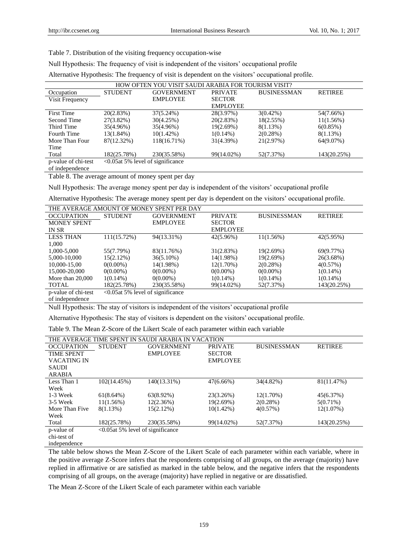Table 7. Distribution of the visiting frequency occupation-wise

Null Hypothesis: The frequency of visit is independent of the visitors" occupational profile

Alternative Hypothesis: The frequency of visit is dependent on the visitors" occupational profile.

| <b>HOW OFTEN YOU</b><br>VISIT SAUDI ARABIA FOR TOURISM VISIT? |                                         |                   |                 |                    |                |
|---------------------------------------------------------------|-----------------------------------------|-------------------|-----------------|--------------------|----------------|
| Occupation                                                    | <b>STUDENT</b>                          | <b>GOVERNMENT</b> | <b>PRIVATE</b>  | <b>BUSINESSMAN</b> | <b>RETIREE</b> |
| Visit Frequency                                               |                                         | <b>EMPLOYEE</b>   | <b>SECTOR</b>   |                    |                |
|                                                               |                                         |                   | <b>EMPLOYEE</b> |                    |                |
| <b>First Time</b>                                             | 20(2.83%)                               | $37(5.24\%)$      | 28(3.97%)       | $3(0.42\%)$        | 54(7.66%)      |
| Second Time                                                   | 27(3.82%)                               | 30(4.25%)         | 20(2.83%)       | 18(2.55%)          | 11(1.56%)      |
| Third Time                                                    | 35(4.96%)                               | 35(4.96%)         | 19(2.69%)       | $8(1.13\%)$        | 6(0.85%)       |
| <b>Fourth Time</b>                                            | 13(1.84%)                               | $10(1.42\%)$      | $1(0.14\%)$     | $2(0.28\%)$        | 8(1.13%)       |
| More Than Four                                                | 87(12.32%)                              | 118(16.71%)       | 31(4.39%)       | 21(2.97%)          | 64(9.07%)      |
| Time                                                          |                                         |                   |                 |                    |                |
| Total                                                         | 182(25.78%)                             | 230(35.58%)       | 99(14.02%)      | 52(7.37%)          | 143(20.25%)    |
| p-value of chi-test                                           | $\leq 0.05$ at 5% level of significance |                   |                 |                    |                |
| of independence                                               |                                         |                   |                 |                    |                |

Table 8. The average amount of money spent per day

Null Hypothesis: The average money spent per day is independent of the visitors" occupational profile

Alternative Hypothesis: The average money spent per day is dependent on the visitors" occupational profile.

| THE AVERAGE AMOUNT OF MONEY SPENT PER DAY |                                         |                   |                 |                    |                |
|-------------------------------------------|-----------------------------------------|-------------------|-----------------|--------------------|----------------|
| <b>OCCUPATION</b>                         | <b>STUDENT</b>                          | <b>GOVERNMENT</b> | <b>PRIVATE</b>  | <b>BUSINESSMAN</b> | <b>RETIREE</b> |
| <b>MONEY SPENT</b>                        |                                         | <b>EMPLOYEE</b>   | <b>SECTOR</b>   |                    |                |
| IN SR                                     |                                         |                   | <b>EMPLOYEE</b> |                    |                |
| <b>LESS THAN</b>                          | 111(15.72%)                             | 94(13.31%)        | 42(5.96%)       | 11(1.56%)          | $42(5.95\%)$   |
| 1.000                                     |                                         |                   |                 |                    |                |
| 1,000-5,000                               | 55(7.79%)                               | 83(11.76%)        | 31(2.83%)       | $19(2.69\%)$       | 69(9.77%)      |
| 5,000-10,000                              | $15(2.12\%)$                            | $36(5.10\%)$      | 14(1.98%)       | $19(2.69\%)$       | 26(3.68%)      |
| 10,000-15,00                              | $0(0.00\%)$                             | 14(1.98%)         | $12(1.70\%)$    | $2(0.28\%)$        | 4(0.57%)       |
| 15,000-20,000                             | $0(0.00\%)$                             | $0(0.00\%)$       | $0(0.00\%)$     | $0(0.00\%)$        | $1(0.14\%)$    |
| More than 20,000                          | $1(0.14\%)$                             | $0(0.00\%)$       | $1(0.14\%)$     | $1(0.14\%)$        | $1(0.14\%)$    |
| TOTAL                                     | 182(25.78%)                             | 230(35.58%)       | 99(14.02%)      | 52(7.37%)          | 143(20.25%)    |
| p-value of chi-test                       | $\leq 0.05$ at 5% level of significance |                   |                 |                    |                |
| of independence                           |                                         |                   |                 |                    |                |

Null Hypothesis: The stay of visitors is independent of the visitors" occupational profile

Alternative Hypothesis: The stay of visitors is dependent on the visitors" occupational profile.

Table 9. The Mean Z-Score of the Likert Scale of each parameter within each variable

| THE AVERAGE TIME SPENT IN<br><b>SAUDI ARABIA IN VACATION</b> |                                         |                   |                 |                    |                |
|--------------------------------------------------------------|-----------------------------------------|-------------------|-----------------|--------------------|----------------|
| <b>OCCUPATION</b>                                            | <b>STUDENT</b>                          | <b>GOVERNMENT</b> | <b>PRIVATE</b>  | <b>BUSINESSMAN</b> | <b>RETIREE</b> |
| <b>TIME SPENT</b>                                            |                                         | <b>EMPLOYEE</b>   | <b>SECTOR</b>   |                    |                |
| <b>VACATING IN</b>                                           |                                         |                   | <b>EMPLOYEE</b> |                    |                |
| <b>SAUDI</b>                                                 |                                         |                   |                 |                    |                |
| <b>ARABIA</b>                                                |                                         |                   |                 |                    |                |
| Less Than 1                                                  | 102(14.45%)                             | 140(13.31%)       | $47(6.66\%)$    | 34(4.82%)          | 81(11.47%)     |
| Week                                                         |                                         |                   |                 |                    |                |
| 1-3 Week                                                     | 61(8.64%)                               | $63(8.92\%)$      | 23(3.26%)       | $12(1.70\%)$       | 45(6.37%)      |
| 3-5 Week                                                     | $11(1.56\%)$                            | 12(2.36%)         | 19(2.69%)       | 2(0.28%)           | $5(0.71\%)$    |
| More Than Five                                               | $8(1.13\%)$                             | 15(2.12%)         | $10(1.42\%)$    | 4(0.57%)           | $12(1.07\%)$   |
| Week                                                         |                                         |                   |                 |                    |                |
| Total                                                        | 182(25.78%)                             | 230(35.58%)       | 99(14.02%)      | 52(7.37%)          | 143(20.25%)    |
| p-value of                                                   | $\leq 0.05$ at 5% level of significance |                   |                 |                    |                |
| chi-test of                                                  |                                         |                   |                 |                    |                |
| independence                                                 |                                         |                   |                 |                    |                |

The table below shows the Mean Z-Score of the Likert Scale of each parameter within each variable, where in the positive average Z-Score infers that the respondents comprising of all groups, on the average (majority) have replied in affirmative or are satisfied as marked in the table below, and the negative infers that the respondents comprising of all groups, on the average (majority) have replied in negative or are dissatisfied.

The Mean Z-Score of the Likert Scale of each parameter within each variable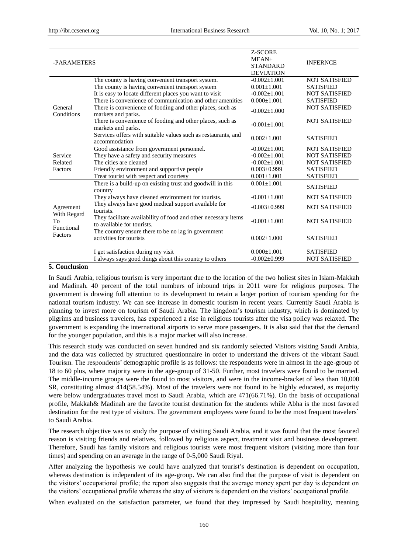| -PARAMETERS                                |                                                                                              | Z-SCORE<br>MEAN <sub>±</sub> | <b>INFERNCE</b>      |
|--------------------------------------------|----------------------------------------------------------------------------------------------|------------------------------|----------------------|
|                                            |                                                                                              | <b>STANDARD</b>              |                      |
|                                            |                                                                                              | <b>DEVIATION</b>             |                      |
|                                            | The county is having convenient transport system.                                            | $-0.002 \pm 1.001$           | <b>NOT SATISFIED</b> |
|                                            | The county is having convenient transport system                                             | $0.001 \pm 1.001$            | <b>SATISFIED</b>     |
|                                            | It is easy to locate different places you want to visit                                      | $-0.002 \pm 1.001$           | <b>NOT SATISFIED</b> |
|                                            | There is convenience of communication and other amenities                                    | $0.000 \pm 1.001$            | <b>SATISFIED</b>     |
| General<br>Conditions                      | There is convenience of fooding and other places, such as<br>markets and parks.              | $-0.002 \pm 1.000$           | <b>NOT SATISFIED</b> |
|                                            | There is convenience of fooding and other places, such as<br>markets and parks.              | $-0.001 \pm 1.001$           | <b>NOT SATISFIED</b> |
|                                            | Services offers with suitable values such as restaurants, and<br>accommodation               | $0.002 + 1.001$              | <b>SATISFIED</b>     |
|                                            | Good assistance from government personnel.                                                   | $-0.002 \pm 1.001$           | <b>NOT SATISFIED</b> |
| Service                                    | They have a safety and security measures                                                     | $-0.002 \pm 1.001$           | <b>NOT SATISFIED</b> |
| Related                                    | The cities are cleaned                                                                       | $-0.002 \pm 1.001$           | <b>NOT SATISFIED</b> |
| Factors                                    | Friendly environment and supportive people                                                   | $0.003 + 0.999$              | <b>SATISFIED</b>     |
|                                            | Treat tourist with respect and courtesy                                                      | $0.001 \pm 1.001$            | <b>SATISFIED</b>     |
|                                            | There is a build-up on existing trust and goodwill in this                                   | $0.001 \pm 1.001$            |                      |
|                                            | country                                                                                      |                              | <b>SATISFIED</b>     |
|                                            | They always have cleaned environment for tourists.                                           | $-0.001 \pm 1.001$           | <b>NOT SATISFIED</b> |
| Agreement                                  | They always have good medical support available for<br>tourists.                             | $-0.003 + 0.999$             | <b>NOT SATISFIED</b> |
| With Regard<br>To<br>Functional<br>Factors | They facilitate availability of food and other necessary items<br>to available for tourists. | $-0.001 \pm 1.001$           | <b>NOT SATISFIED</b> |
|                                            | The country ensure there to be no lag in government                                          |                              |                      |
|                                            | activities for tourists                                                                      | $0.002 + 1.000$              | <b>SATISFIED</b>     |
|                                            | I get satisfaction during my visit                                                           | $0.000 + 1.001$              | <b>SATISFIED</b>     |
|                                            | I always says good things about this country to others                                       | $-0.002 \pm 0.999$           | <b>NOT SATISFIED</b> |

# **5. Conclusion**

In Saudi Arabia, religious tourism is very important due to the location of the two holiest sites in Islam-Makkah and Madinah. 40 percent of the total numbers of inbound trips in 2011 were for religious purposes. The government is drawing full attention to its development to retain a larger portion of tourism spending for the national tourism industry. We can see increase in domestic tourism in recent years. Currently Saudi Arabia is planning to invest more on tourism of Saudi Arabia. The kingdom"s tourism industry, which is dominated by pilgrims and business travelers, has experienced a rise in religious tourists after the visa policy was relaxed. The government is expanding the international airports to serve more passengers. It is also said that that the demand for the younger population, and this is a major market will also increase.

This research study was conducted on seven hundred and six randomly selected Visitors visiting Saudi Arabia, and the data was collected by structured questionnaire in order to understand the drivers of the vibrant Saudi Tourism. The respondents" demographic profile is as follows: the respondents were in almost in the age-group of 18 to 60 plus, where majority were in the age-group of 31-50. Further, most travelers were found to be married. The middle-income groups were the found to most visitors, and were in the income-bracket of less than 10,000 SR, constituting almost 414(58.54%). Most of the travelers were not found to be highly educated, as majority were below undergraduates travel most to Saudi Arabia, which are 471(66.71%). On the basis of occupational profile, Makkah& Madinah are the favorite tourist destination for the students while Abha is the most favored destination for the rest type of visitors. The government employees were found to be the most frequent travelers` to Saudi Arabia.

The research objective was to study the purpose of visiting Saudi Arabia, and it was found that the most favored reason is visiting friends and relatives, followed by religious aspect, treatment visit and business development. Therefore, Saudi has family visitors and religious tourists were most frequent visitors (visiting more than four times) and spending on an average in the range of 0-5,000 Saudi Riyal.

After analyzing the hypothesis we could have analyzed that tourist's destination is dependent on occupation, whereas destination is independent of its age-group. We can also find that the purpose of visit is dependent on the visitors" occupational profile; the report also suggests that the average money spent per day is dependent on the visitors" occupational profile whereas the stay of visitors is dependent on the visitors" occupational profile.

When evaluated on the satisfaction parameter, we found that they impressed by Saudi hospitality, meaning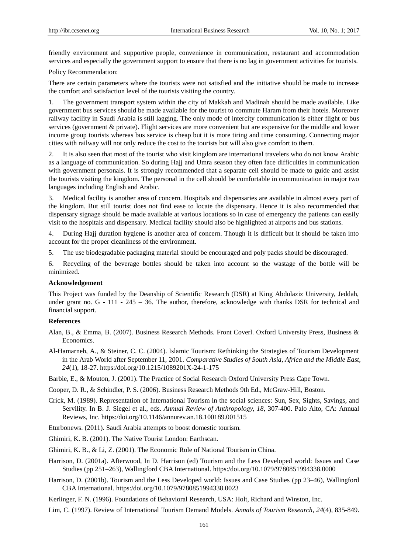friendly environment and supportive people, convenience in communication, restaurant and accommodation services and especially the government support to ensure that there is no lag in government activities for tourists.

Policy Recommendation:

There are certain parameters where the tourists were not satisfied and the initiative should be made to increase the comfort and satisfaction level of the tourists visiting the country.

1. The government transport system within the city of Makkah and Madinah should be made available. Like government bus services should be made available for the tourist to commute Haram from their hotels. Moreover railway facility in Saudi Arabia is still lagging. The only mode of intercity communication is either flight or bus services (government & private). Flight services are more convenient but are expensive for the middle and lower income group tourists whereas bus service is cheap but it is more tiring and time consuming. Connecting major cities with railway will not only reduce the cost to the tourists but will also give comfort to them.

2. It is also seen that most of the tourist who visit kingdom are international travelers who do not know Arabic as a language of communication. So during Hajj and Umra season they often face difficulties in communication with government personals. It is strongly recommended that a separate cell should be made to guide and assist the tourists visiting the kingdom. The personal in the cell should be comfortable in communication in major two languages including English and Arabic.

3. Medical facility is another area of concern. Hospitals and dispensaries are available in almost every part of the kingdom. But still tourist does not find ease to locate the dispensary. Hence it is also recommended that dispensary signage should be made available at various locations so in case of emergency the patients can easily visit to the hospitals and dispensary. Medical facility should also be highlighted at airports and bus stations.

4. During Hajj duration hygiene is another area of concern. Though it is difficult but it should be taken into account for the proper cleanliness of the environment.

5. The use biodegradable packaging material should be encouraged and poly packs should be discouraged.

6. Recycling of the beverage bottles should be taken into account so the wastage of the bottle will be minimized.

#### **Acknowledgement**

This Project was funded by the Deanship of Scientific Research (DSR) at King Abdulaziz University, Jeddah, under grant no.  $G - 111 - 245 - 36$ . The author, therefore, acknowledge with thanks DSR for technical and financial support.

## **References**

- Alan, B., & Emma, B. (2007). Business Research Methods. Front Coverl. Oxford University Press, Business & Economics.
- Al-Hamarneh, A., & Steiner, C. C. (2004). Islamic Tourism: Rethinking the Strategies of Tourism Development in the Arab World after September 11, 2001. *Comparative Studies of South Asia, Africa and the Middle East, 24*(1), 18-27. [https:/doi.org/10.1215/1089201X-24-1-175](https://doi.org/10.1215/1089201X-24-1-175)
- Barbie, E., & Mouton, J. (2001). The Practice of Social Research Oxford University Press Cape Town.
- Cooper, D. R., & Schindler, P. S. (2006). Business Research Methods 9th Ed., McGraw-Hill, Boston.
- Crick, M. (1989). Representation of International Tourism in the social sciences: Sun, Sex, Sights, Savings, and Servility. In B. J. Siegel et al., eds. *Annual Review of Anthropology, 18,* 307-400. Palo Alto, CA: Annual Reviews, Inc. [https:/doi.org/10.1146/annurev.an.18.100189.001515](https://doi.org/10.1146/annurev.an.18.100189.001515)

Eturbonews. (2011). Saudi Arabia attempts to boost domestic tourism.

Ghimiri, K. B. (2001). The Native Tourist London: Earthscan.

- Ghimiri, K. B., & Li, Z. (2001). The Economic Role of National Tourism in China.
- Harrison, D. (2001a). Afterwood, In D. Harrison (ed) Tourism and the Less Developed world: Issues and Case Studies (pp 251–263), Wallingford CBA International. [https:/doi.org/10.1079/9780851994338.0000](https://doi.org/10.1079/9780851994338.0000)
- Harrison, D. (2001b). Tourism and the Less Developed world: Issues and Case Studies (pp 23–46), Wallingford CBA International. [https:/doi.org/10.1079/9780851994338.0023](https://doi.org/10.1079/9780851994338.0023)

Kerlinger, F. N. (1996). Foundations of Behavioral Research, USA: Holt, Richard and Winston, Inc.

Lim, C. (1997). Review of International Tourism Demand Models. *Annals of Tourism Research, 24*(4), 835-849.